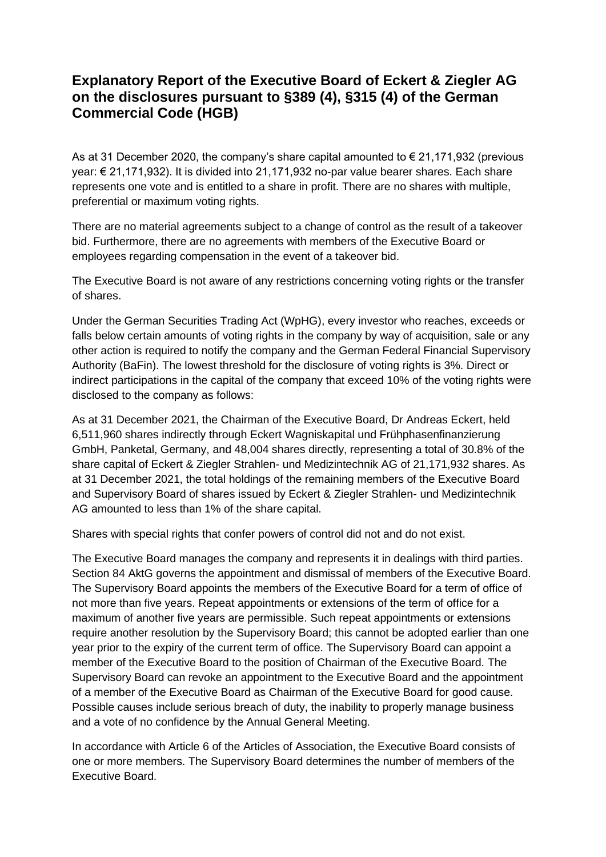## **Explanatory Report of the Executive Board of Eckert & Ziegler AG on the disclosures pursuant to §389 (4), §315 (4) of the German Commercial Code (HGB)**

As at 31 December 2020, the company's share capital amounted to  $\epsilon$  21,171,932 (previous year: € 21,171,932). It is divided into 21,171,932 no-par value bearer shares. Each share represents one vote and is entitled to a share in profit. There are no shares with multiple, preferential or maximum voting rights.

There are no material agreements subject to a change of control as the result of a takeover bid. Furthermore, there are no agreements with members of the Executive Board or employees regarding compensation in the event of a takeover bid.

The Executive Board is not aware of any restrictions concerning voting rights or the transfer of shares.

Under the German Securities Trading Act (WpHG), every investor who reaches, exceeds or falls below certain amounts of voting rights in the company by way of acquisition, sale or any other action is required to notify the company and the German Federal Financial Supervisory Authority (BaFin). The lowest threshold for the disclosure of voting rights is 3%. Direct or indirect participations in the capital of the company that exceed 10% of the voting rights were disclosed to the company as follows:

As at 31 December 2021, the Chairman of the Executive Board, Dr Andreas Eckert, held 6,511,960 shares indirectly through Eckert Wagniskapital und Frühphasenfinanzierung GmbH, Panketal, Germany, and 48,004 shares directly, representing a total of 30.8% of the share capital of Eckert & Ziegler Strahlen- und Medizintechnik AG of 21,171,932 shares. As at 31 December 2021, the total holdings of the remaining members of the Executive Board and Supervisory Board of shares issued by Eckert & Ziegler Strahlen- und Medizintechnik AG amounted to less than 1% of the share capital.

Shares with special rights that confer powers of control did not and do not exist.

The Executive Board manages the company and represents it in dealings with third parties. Section 84 AktG governs the appointment and dismissal of members of the Executive Board. The Supervisory Board appoints the members of the Executive Board for a term of office of not more than five years. Repeat appointments or extensions of the term of office for a maximum of another five years are permissible. Such repeat appointments or extensions require another resolution by the Supervisory Board; this cannot be adopted earlier than one year prior to the expiry of the current term of office. The Supervisory Board can appoint a member of the Executive Board to the position of Chairman of the Executive Board. The Supervisory Board can revoke an appointment to the Executive Board and the appointment of a member of the Executive Board as Chairman of the Executive Board for good cause. Possible causes include serious breach of duty, the inability to properly manage business and a vote of no confidence by the Annual General Meeting.

In accordance with Article 6 of the Articles of Association, the Executive Board consists of one or more members. The Supervisory Board determines the number of members of the Executive Board.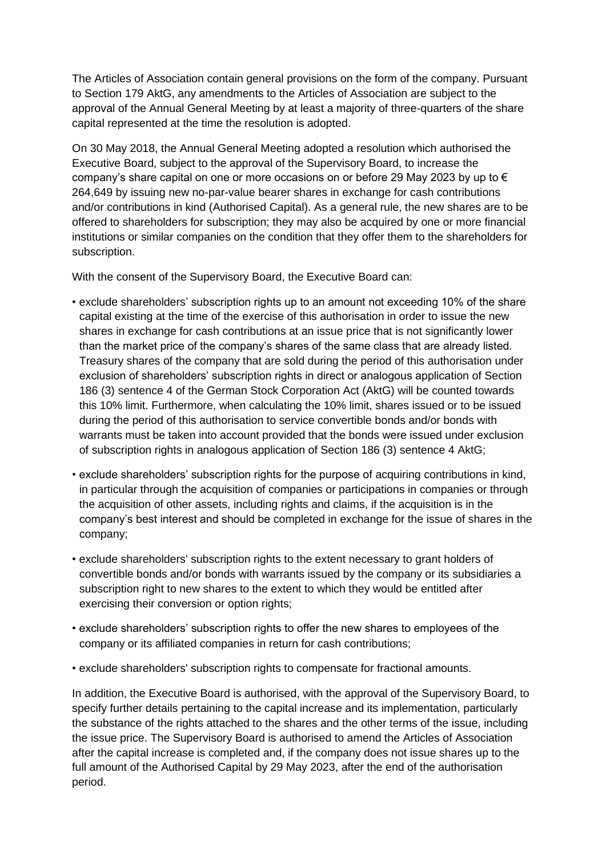The Articles of Association contain general provisions on the form of the company. Pursuant to Section 179 AktG, any amendments to the Articles of Association are subject to the approval of the Annual General Meeting by at least a majority of three-quarters of the share capital represented at the time the resolution is adopted.

On 30 May 2018, the Annual General Meeting adopted a resolution which authorised the Executive Board, subject to the approval of the Supervisory Board, to increase the company's share capital on one or more occasions on or before 29 May 2023 by up to  $\epsilon$ 264,649 by issuing new no-par-value bearer shares in exchange for cash contributions and/or contributions in kind (Authorised Capital). As a general rule, the new shares are to be offered to shareholders for subscription; they may also be acquired by one or more financial institutions or similar companies on the condition that they offer them to the shareholders for subscription.

With the consent of the Supervisory Board, the Executive Board can:

- exclude shareholders' subscription rights up to an amount not exceeding 10% of the share capital existing at the time of the exercise of this authorisation in order to issue the new shares in exchange for cash contributions at an issue price that is not significantly lower than the market price of the company's shares of the same class that are already listed. Treasury shares of the company that are sold during the period of this authorisation under exclusion of shareholders' subscription rights in direct or analogous application of Section 186 (3) sentence 4 of the German Stock Corporation Act (AktG) will be counted towards this 10% limit. Furthermore, when calculating the 10% limit, shares issued or to be issued during the period of this authorisation to service convertible bonds and/or bonds with warrants must be taken into account provided that the bonds were issued under exclusion of subscription rights in analogous application of Section 186 (3) sentence 4 AktG;
- exclude shareholders' subscription rights for the purpose of acquiring contributions in kind, in particular through the acquisition of companies or participations in companies or through the acquisition of other assets, including rights and claims, if the acquisition is in the company's best interest and should be completed in exchange for the issue of shares in the company;
- exclude shareholders' subscription rights to the extent necessary to grant holders of convertible bonds and/or bonds with warrants issued by the company or its subsidiaries a subscription right to new shares to the extent to which they would be entitled after exercising their conversion or option rights;
- exclude shareholders' subscription rights to offer the new shares to employees of the company or its affiliated companies in return for cash contributions;
- exclude shareholders' subscription rights to compensate for fractional amounts.

In addition, the Executive Board is authorised, with the approval of the Supervisory Board, to specify further details pertaining to the capital increase and its implementation, particularly the substance of the rights attached to the shares and the other terms of the issue, including the issue price. The Supervisory Board is authorised to amend the Articles of Association after the capital increase is completed and, if the company does not issue shares up to the full amount of the Authorised Capital by 29 May 2023, after the end of the authorisation period.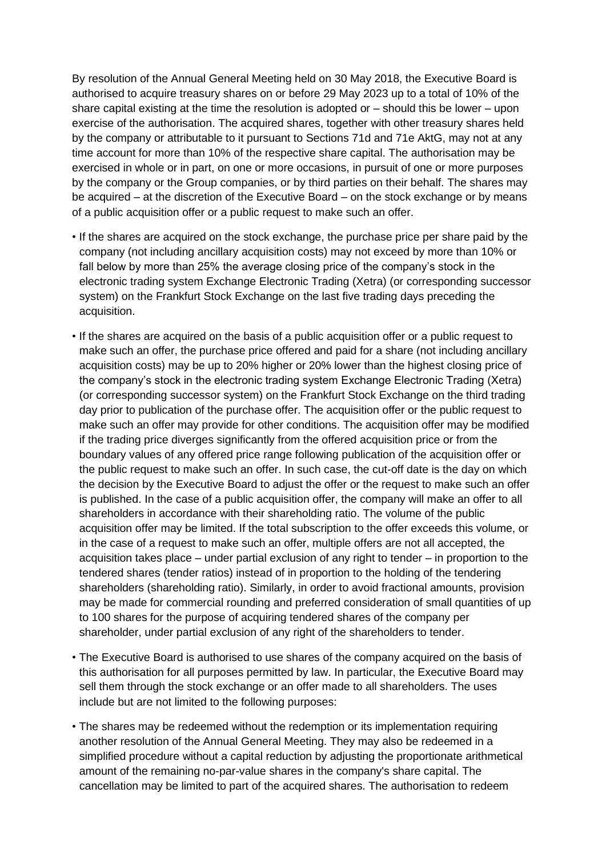By resolution of the Annual General Meeting held on 30 May 2018, the Executive Board is authorised to acquire treasury shares on or before 29 May 2023 up to a total of 10% of the share capital existing at the time the resolution is adopted or – should this be lower – upon exercise of the authorisation. The acquired shares, together with other treasury shares held by the company or attributable to it pursuant to Sections 71d and 71e AktG, may not at any time account for more than 10% of the respective share capital. The authorisation may be exercised in whole or in part, on one or more occasions, in pursuit of one or more purposes by the company or the Group companies, or by third parties on their behalf. The shares may be acquired – at the discretion of the Executive Board – on the stock exchange or by means of a public acquisition offer or a public request to make such an offer.

- If the shares are acquired on the stock exchange, the purchase price per share paid by the company (not including ancillary acquisition costs) may not exceed by more than 10% or fall below by more than 25% the average closing price of the company's stock in the electronic trading system Exchange Electronic Trading (Xetra) (or corresponding successor system) on the Frankfurt Stock Exchange on the last five trading days preceding the acquisition.
- If the shares are acquired on the basis of a public acquisition offer or a public request to make such an offer, the purchase price offered and paid for a share (not including ancillary acquisition costs) may be up to 20% higher or 20% lower than the highest closing price of the company's stock in the electronic trading system Exchange Electronic Trading (Xetra) (or corresponding successor system) on the Frankfurt Stock Exchange on the third trading day prior to publication of the purchase offer. The acquisition offer or the public request to make such an offer may provide for other conditions. The acquisition offer may be modified if the trading price diverges significantly from the offered acquisition price or from the boundary values of any offered price range following publication of the acquisition offer or the public request to make such an offer. In such case, the cut-off date is the day on which the decision by the Executive Board to adjust the offer or the request to make such an offer is published. In the case of a public acquisition offer, the company will make an offer to all shareholders in accordance with their shareholding ratio. The volume of the public acquisition offer may be limited. If the total subscription to the offer exceeds this volume, or in the case of a request to make such an offer, multiple offers are not all accepted, the acquisition takes place – under partial exclusion of any right to tender – in proportion to the tendered shares (tender ratios) instead of in proportion to the holding of the tendering shareholders (shareholding ratio). Similarly, in order to avoid fractional amounts, provision may be made for commercial rounding and preferred consideration of small quantities of up to 100 shares for the purpose of acquiring tendered shares of the company per shareholder, under partial exclusion of any right of the shareholders to tender.
- The Executive Board is authorised to use shares of the company acquired on the basis of this authorisation for all purposes permitted by law. In particular, the Executive Board may sell them through the stock exchange or an offer made to all shareholders. The uses include but are not limited to the following purposes:
- The shares may be redeemed without the redemption or its implementation requiring another resolution of the Annual General Meeting. They may also be redeemed in a simplified procedure without a capital reduction by adjusting the proportionate arithmetical amount of the remaining no-par-value shares in the company's share capital. The cancellation may be limited to part of the acquired shares. The authorisation to redeem